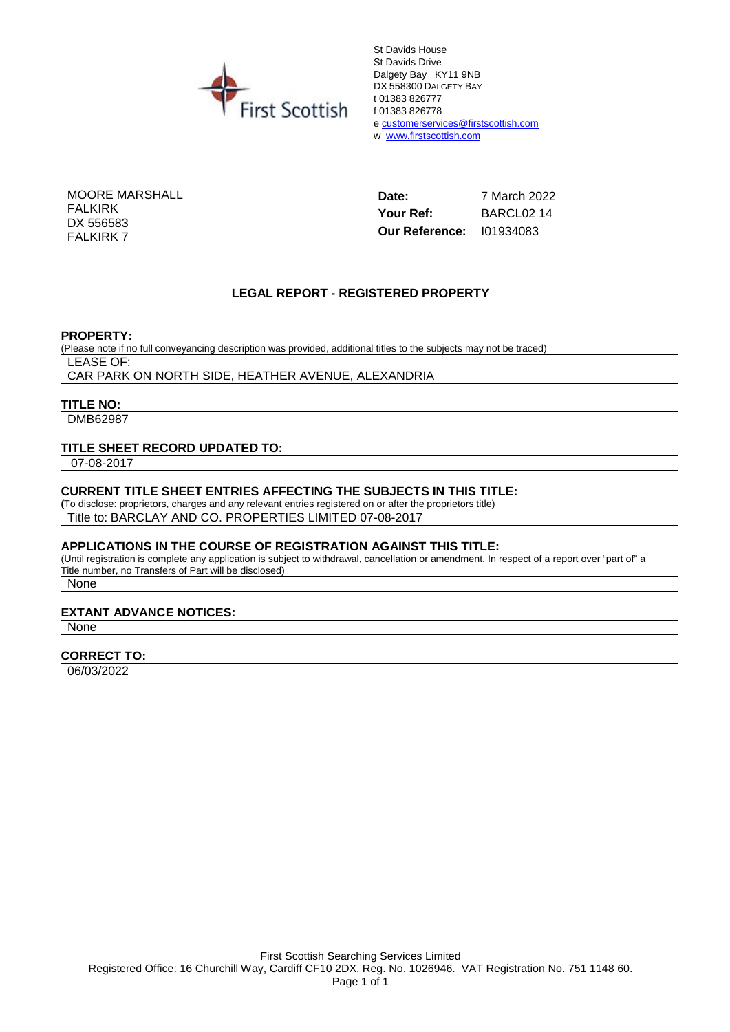

St Davids House St Davids Drive Dalgety Bay KY11 9NB DX 558300 DALGETY BAY t 01383 826777 f 01383 826778 e customerservices@firstscottish.com w www.firstscottish.com

MOORE MARSHALL FALKIRK DX 556583 FALKIRK 7

**Date:** 7 March 2022 **Your Ref:** BARCL02 14 **Our Reference:** I01934083

#### **LEGAL REPORT - REGISTERED PROPERTY**

**PROPERTY:**

(Please note if no full conveyancing description was provided, additional titles to the subjects may not be traced) LEASE OF:

CAR PARK ON NORTH SIDE, HEATHER AVENUE, ALEXANDRIA

#### **TITLE NO:**

DMB62987

#### **TITLE SHEET RECORD UPDATED TO:**

07-08-2017

#### **CURRENT TITLE SHEET ENTRIES AFFECTING THE SUBJECTS IN THIS TITLE:**

**(**To disclose: proprietors, charges and any relevant entries registered on or after the proprietors title)

Title to: BARCLAY AND CO. PROPERTIES LIMITED 07-08-2017

#### **APPLICATIONS IN THE COURSE OF REGISTRATION AGAINST THIS TITLE:**

(Until registration is complete any application is subject to withdrawal, cancellation or amendment. In respect of a report over "part of" a Title number, no Transfers of Part will be disclosed)

None

#### **EXTANT ADVANCE NOTICES:**

None

#### **CORRECT TO:**

06/03/2022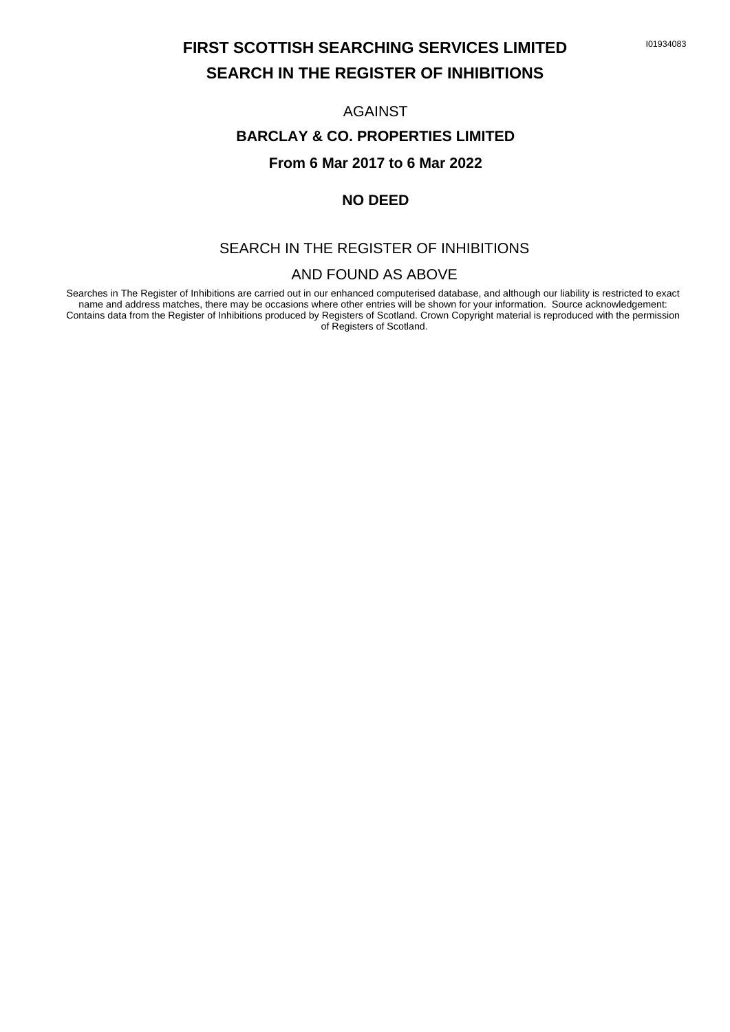### **FIRST SCOTTISH SEARCHING SERVICES LIMITED SEARCH IN THE REGISTER OF INHIBITIONS**

#### AGAINST

#### **BARCLAY & CO. PROPERTIES LIMITED**

#### **From 6 Mar 2017 to 6 Mar 2022**

#### **NO DEED**

#### SEARCH IN THE REGISTER OF INHIBITIONS

#### AND FOUND AS ABOVE

Searches in The Register of Inhibitions are carried out in our enhanced computerised database, and although our liability is restricted to exact name and address matches, there may be occasions where other entries will be shown for your information. Source acknowledgement: Contains data from the Register of Inhibitions produced by Registers of Scotland. Crown Copyright material is reproduced with the permission of Registers of Scotland.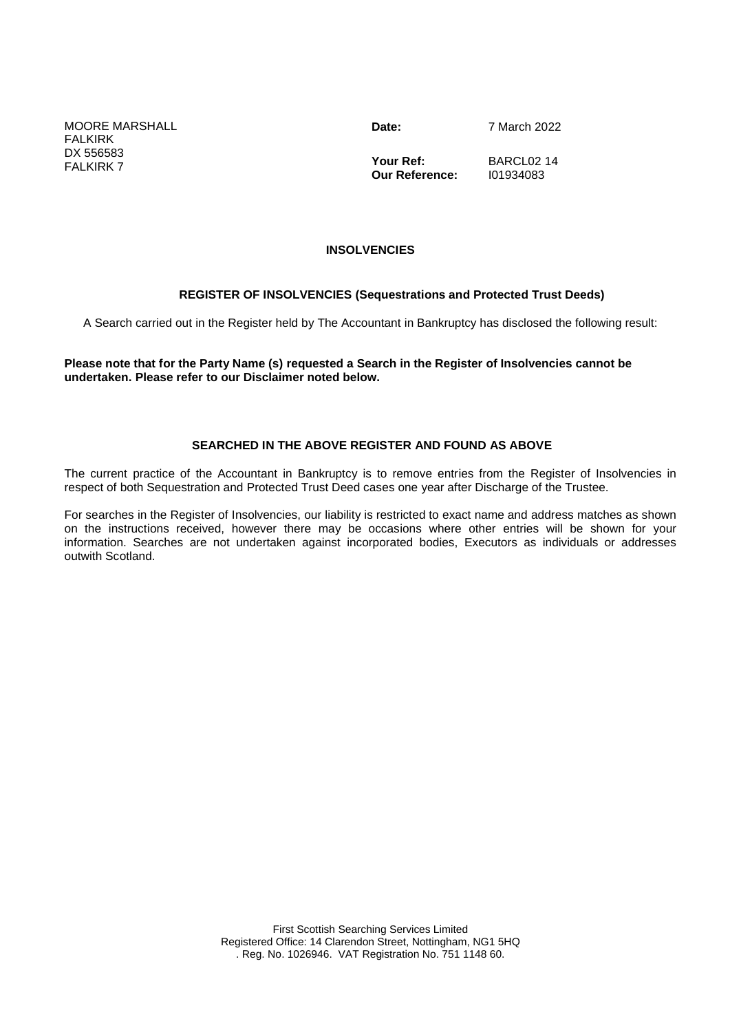MOORE MARSHALL **FALKIRK** DX 556583 FALKIRK 7

**Date:** 7 March 2022

**Your Ref: Our Reference:** BARCL02 14 I01934083

#### **INSOLVENCIES**

#### **REGISTER OF INSOLVENCIES (Sequestrations and Protected Trust Deeds)**

A Search carried out in the Register held by The Accountant in Bankruptcy has disclosed the following result:

**Please note that for the Party Name (s) requested a Search in the Register of Insolvencies cannot be undertaken. Please refer to our Disclaimer noted below.**

#### **SEARCHED IN THE ABOVE REGISTER AND FOUND AS ABOVE**

The current practice of the Accountant in Bankruptcy is to remove entries from the Register of Insolvencies in respect of both Sequestration and Protected Trust Deed cases one year after Discharge of the Trustee.

For searches in the Register of Insolvencies, our liability is restricted to exact name and address matches as shown on the instructions received, however there may be occasions where other entries will be shown for your information. Searches are not undertaken against incorporated bodies, Executors as individuals or addresses outwith Scotland.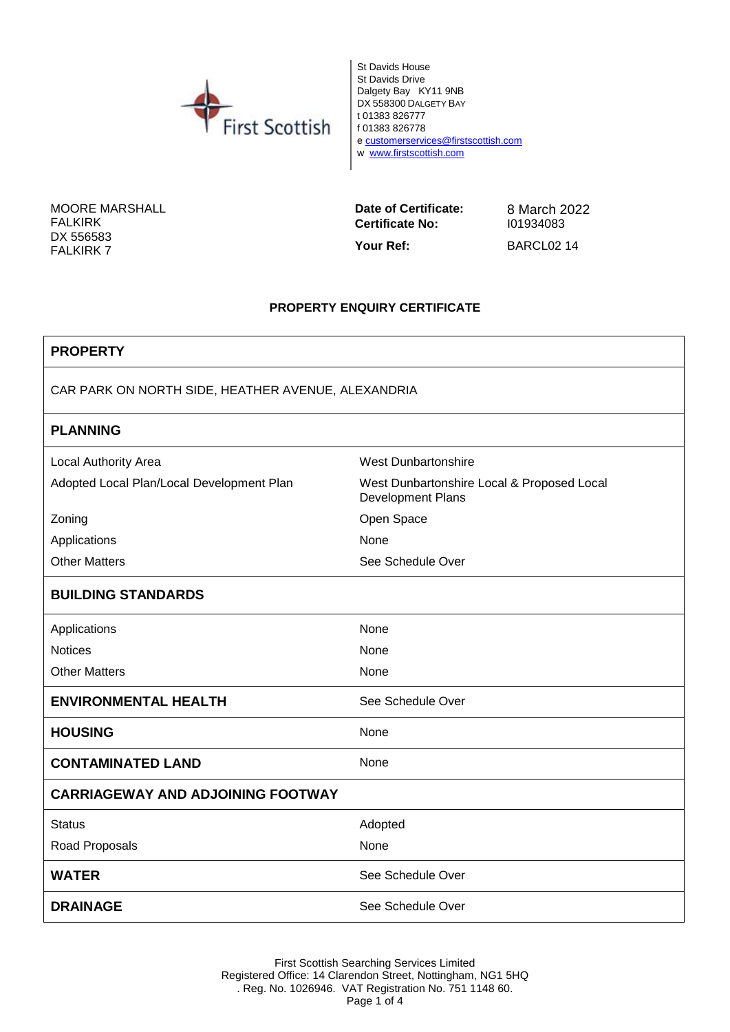

St Davids House St Davids Drive Dalgety Bay KY11 9NB DX 558300 DALGETY BAY t 01383 826777 f 01383 826778 e customerservices@firstscottish.com w www.firstscottish.com

MOORE MARSHALL FALKIRK DX 556583 FALKIRK 7

**Date of Certificate:** 8 March 2022<br>**Certificate No:** 101934083 **Certificate No:** 

Your Ref: BARCL02 14

#### **PROPERTY ENQUIRY CERTIFICATE**

| <b>PROPERTY</b>                                    |                                                                 |  |
|----------------------------------------------------|-----------------------------------------------------------------|--|
| CAR PARK ON NORTH SIDE, HEATHER AVENUE, ALEXANDRIA |                                                                 |  |
| <b>PLANNING</b>                                    |                                                                 |  |
| Local Authority Area                               | <b>West Dunbartonshire</b>                                      |  |
| Adopted Local Plan/Local Development Plan          | West Dunbartonshire Local & Proposed Local<br>Development Plans |  |
| Zoning                                             | Open Space                                                      |  |
| Applications                                       | None                                                            |  |
| <b>Other Matters</b>                               | See Schedule Over                                               |  |
| <b>BUILDING STANDARDS</b>                          |                                                                 |  |
| Applications                                       | None                                                            |  |
| <b>Notices</b>                                     | None                                                            |  |
| <b>Other Matters</b>                               | None                                                            |  |
| <b>ENVIRONMENTAL HEALTH</b>                        | See Schedule Over                                               |  |
| <b>HOUSING</b>                                     | None                                                            |  |
| <b>CONTAMINATED LAND</b>                           | None                                                            |  |
| <b>CARRIAGEWAY AND ADJOINING FOOTWAY</b>           |                                                                 |  |
| <b>Status</b>                                      | Adopted                                                         |  |
| Road Proposals                                     | None                                                            |  |
| <b>WATER</b>                                       | See Schedule Over                                               |  |
| <b>DRAINAGE</b>                                    | See Schedule Over                                               |  |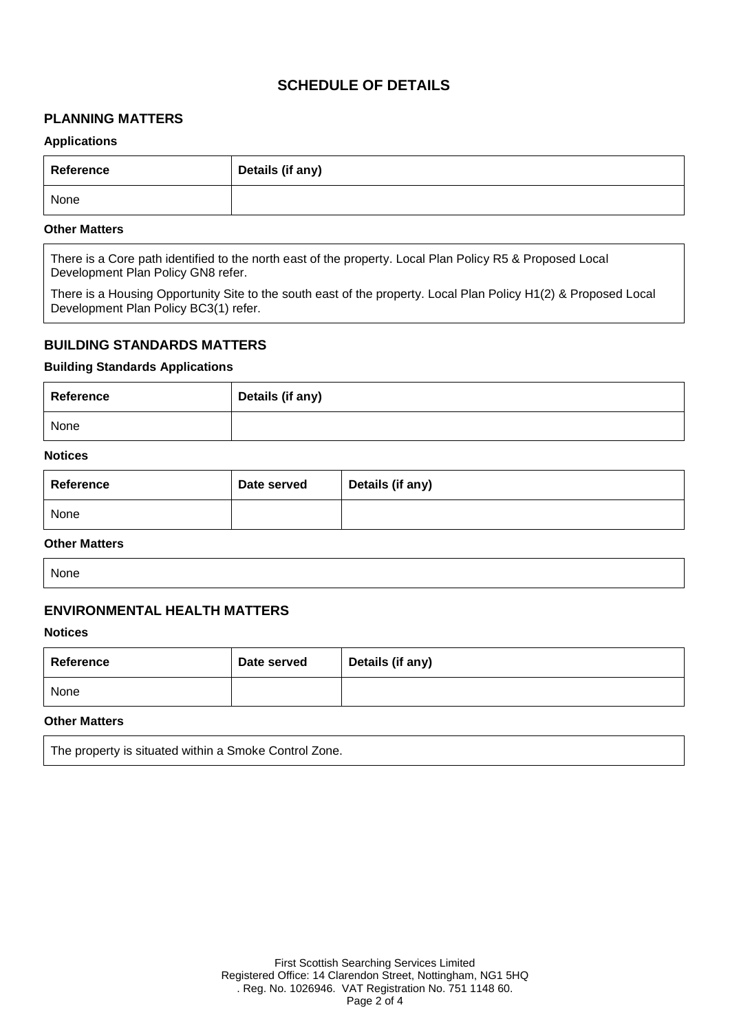#### **SCHEDULE OF DETAILS**

#### **PLANNING MATTERS**

#### **Applications**

| Reference | Details (if any) |
|-----------|------------------|
| None      |                  |

#### **Other Matters**

There is a Core path identified to the north east of the property. Local Plan Policy R5 & Proposed Local Development Plan Policy GN8 refer.

There is a Housing Opportunity Site to the south east of the property. Local Plan Policy H1(2) & Proposed Local Development Plan Policy BC3(1) refer.

#### **BUILDING STANDARDS MATTERS**

#### **Building Standards Applications**

| Reference | Details (if any) |
|-----------|------------------|
| None      |                  |

#### **Notices**

| Reference | Date served | Details (if any) |
|-----------|-------------|------------------|
| None      |             |                  |

#### **Other Matters**

None

#### **ENVIRONMENTAL HEALTH MATTERS**

#### **Notices**

| Reference | Date served | Details (if any) |
|-----------|-------------|------------------|
| None      |             |                  |

#### **Other Matters**

The property is situated within a Smoke Control Zone.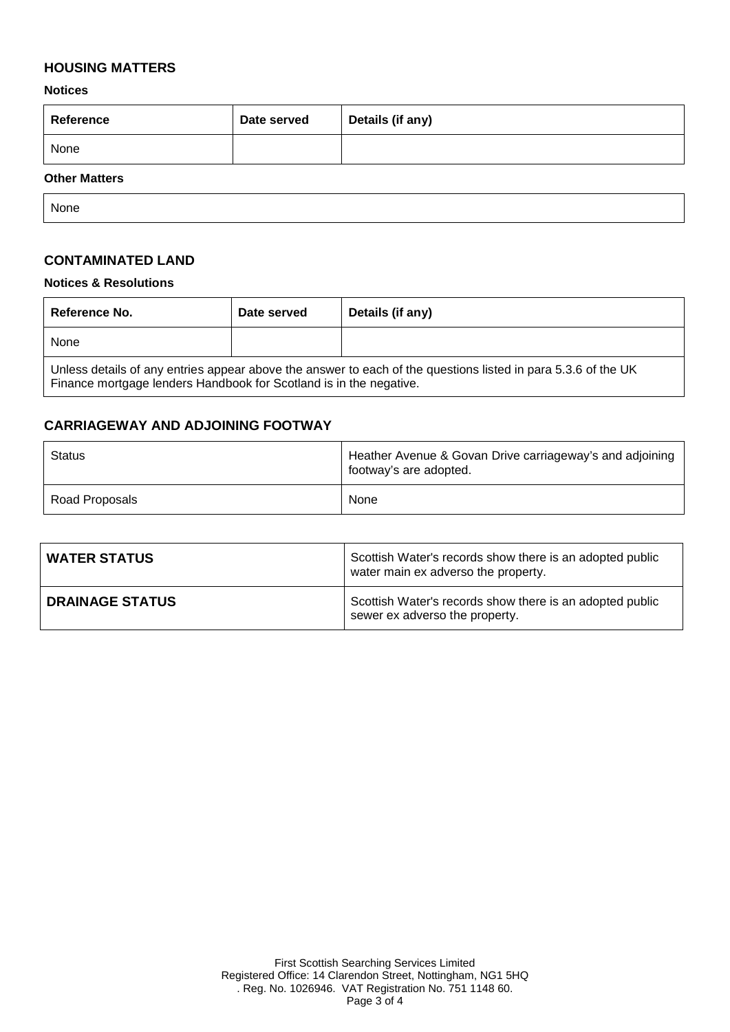#### **HOUSING MATTERS**

**Notices**

| Reference  | Date served | Details (if any) |
|------------|-------------|------------------|
| None       |             |                  |
| ___<br>___ |             |                  |

#### **Other Matters**

None

#### **CONTAMINATED LAND**

#### **Notices & Resolutions**

| Reference No.                                                                                                                                                                       | Date served | Details (if any) |
|-------------------------------------------------------------------------------------------------------------------------------------------------------------------------------------|-------------|------------------|
| None                                                                                                                                                                                |             |                  |
| Unless details of any entries appear above the answer to each of the questions listed in para 5.3.6 of the UK<br>Finance mortgage lenders Handbook for Scotland is in the negative. |             |                  |

#### **CARRIAGEWAY AND ADJOINING FOOTWAY**

| Status         | Heather Avenue & Govan Drive carriageway's and adjoining<br>footway's are adopted. |
|----------------|------------------------------------------------------------------------------------|
| Road Proposals | None                                                                               |

| <b>WATER STATUS</b>    | Scottish Water's records show there is an adopted public<br>water main ex adverso the property. |  |
|------------------------|-------------------------------------------------------------------------------------------------|--|
| <b>DRAINAGE STATUS</b> | Scottish Water's records show there is an adopted public<br>sewer ex adverso the property.      |  |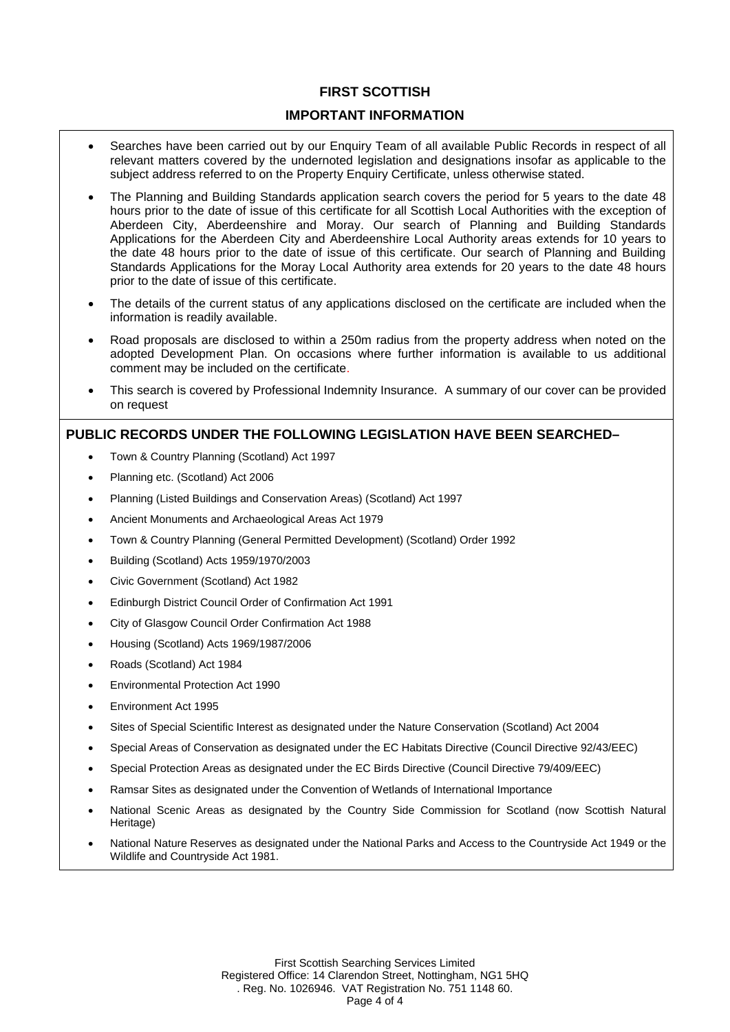#### **FIRST SCOTTISH**

#### **IMPORTANT INFORMATION**

- Searches have been carried out by our Enquiry Team of all available Public Records in respect of all relevant matters covered by the undernoted legislation and designations insofar as applicable to the subject address referred to on the Property Enquiry Certificate, unless otherwise stated.
- The Planning and Building Standards application search covers the period for 5 years to the date 48 hours prior to the date of issue of this certificate for all Scottish Local Authorities with the exception of Aberdeen City, Aberdeenshire and Moray. Our search of Planning and Building Standards Applications for the Aberdeen City and Aberdeenshire Local Authority areas extends for 10 years to the date 48 hours prior to the date of issue of this certificate. Our search of Planning and Building Standards Applications for the Moray Local Authority area extends for 20 years to the date 48 hours prior to the date of issue of this certificate.
- The details of the current status of any applications disclosed on the certificate are included when the information is readily available.
- Road proposals are disclosed to within a 250m radius from the property address when noted on the adopted Development Plan. On occasions where further information is available to us additional comment may be included on the certificate.
- This search is covered by Professional Indemnity Insurance. A summary of our cover can be provided on request

#### **PUBLIC RECORDS UNDER THE FOLLOWING LEGISLATION HAVE BEEN SEARCHED–**

- Town & Country Planning (Scotland) Act 1997
- Planning etc. (Scotland) Act 2006
- Planning (Listed Buildings and Conservation Areas) (Scotland) Act 1997
- Ancient Monuments and Archaeological Areas Act 1979
- Town & Country Planning (General Permitted Development) (Scotland) Order 1992
- Building (Scotland) Acts 1959/1970/2003
- Civic Government (Scotland) Act 1982
- Edinburgh District Council Order of Confirmation Act 1991
- City of Glasgow Council Order Confirmation Act 1988
- Housing (Scotland) Acts 1969/1987/2006
- Roads (Scotland) Act 1984
- Environmental Protection Act 1990
- Environment Act 1995
- Sites of Special Scientific Interest as designated under the Nature Conservation (Scotland) Act 2004
- Special Areas of Conservation as designated under the EC Habitats Directive (Council Directive 92/43/EEC)
- Special Protection Areas as designated under the EC Birds Directive (Council Directive 79/409/EEC)
- Ramsar Sites as designated under the Convention of Wetlands of International Importance
- National Scenic Areas as designated by the Country Side Commission for Scotland (now Scottish Natural Heritage)
- National Nature Reserves as designated under the National Parks and Access to the Countryside Act 1949 or the Wildlife and Countryside Act 1981.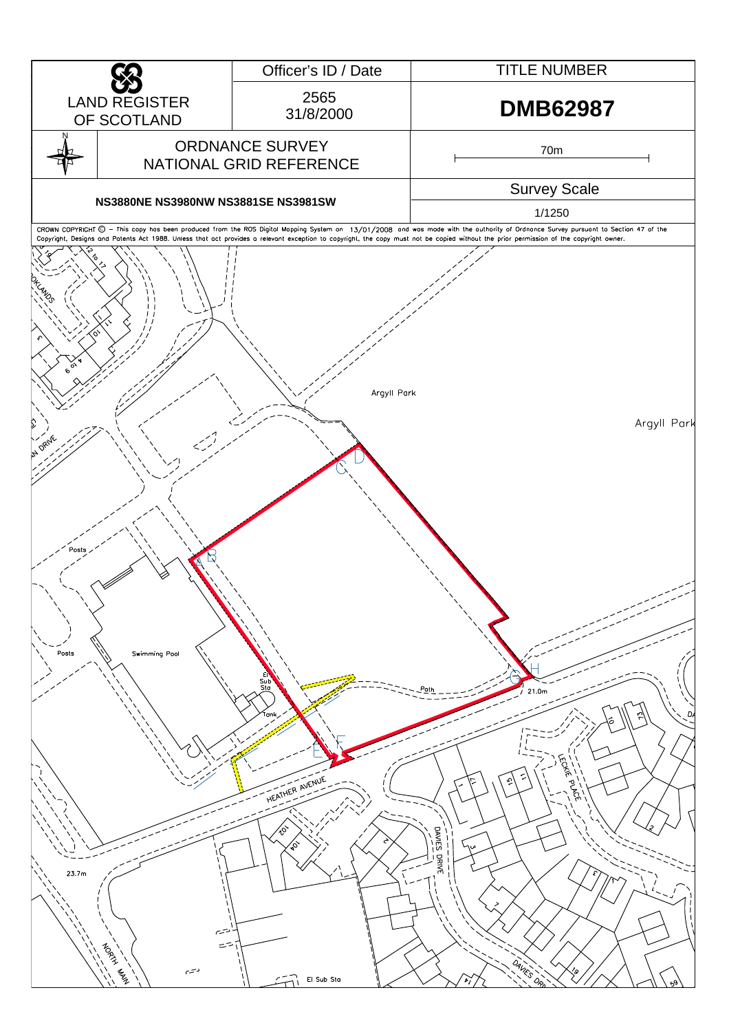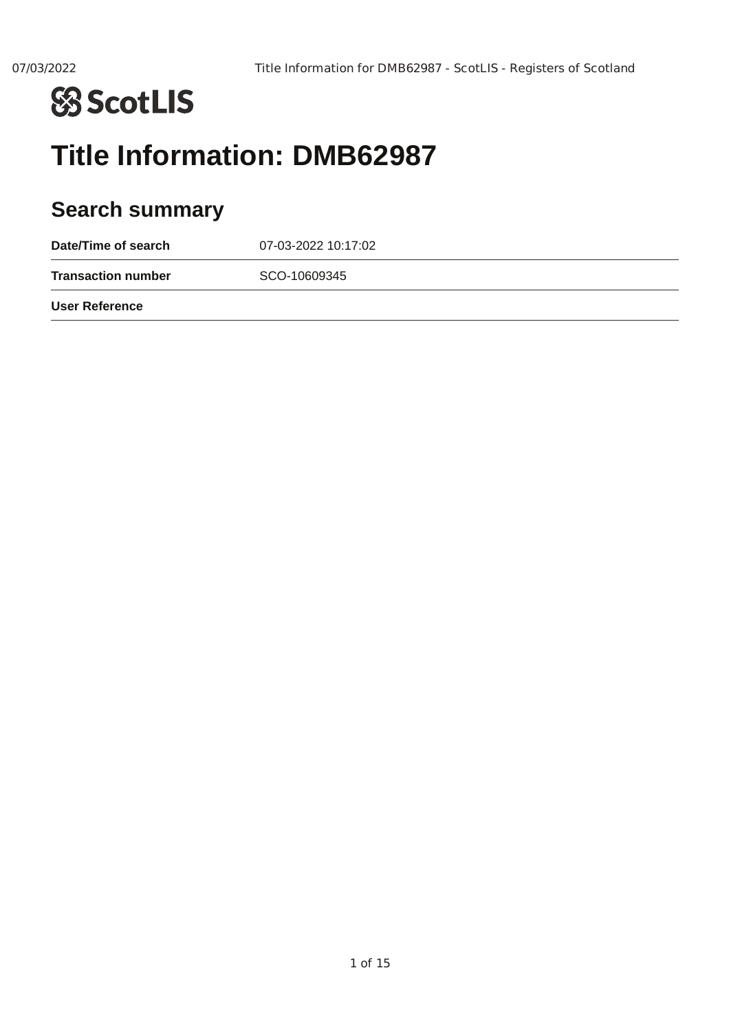

## **Title Information: DMB62987**

## **Search summary**

| Date/Time of search       | 07-03-2022 10:17:02 |
|---------------------------|---------------------|
| <b>Transaction number</b> | SCO-10609345        |
| User Reference            |                     |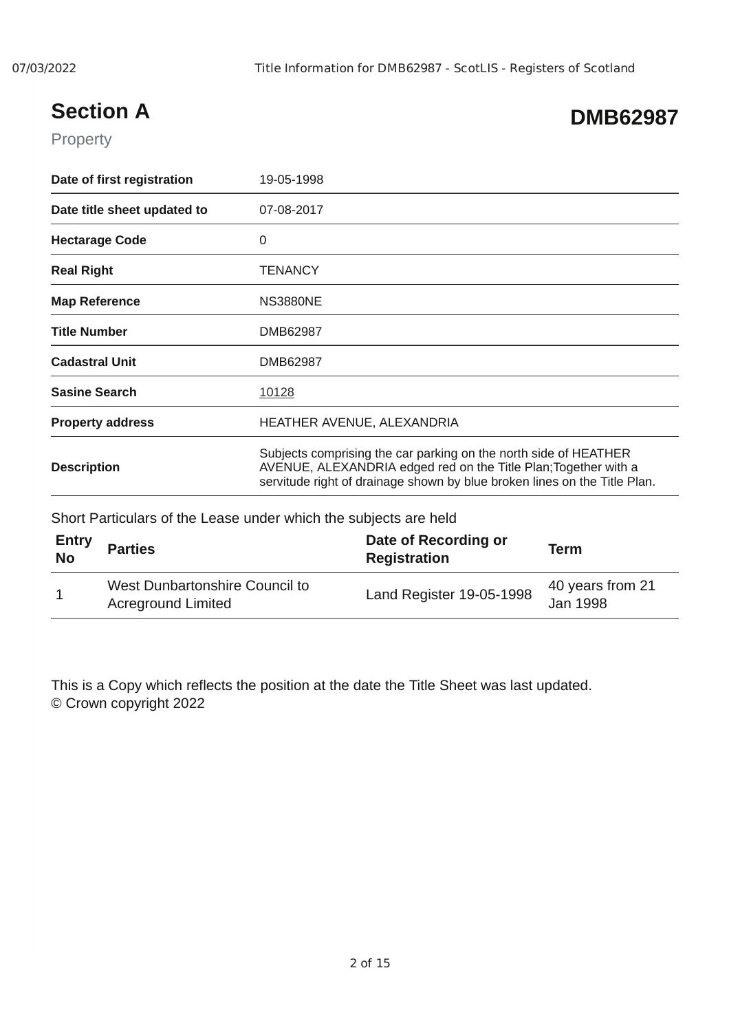## **Section A**

## **DMB62987**

#### Property

| Date of first registration  | 19-05-1998                                                                                                                                                                                                       |
|-----------------------------|------------------------------------------------------------------------------------------------------------------------------------------------------------------------------------------------------------------|
| Date title sheet updated to | 07-08-2017                                                                                                                                                                                                       |
| <b>Hectarage Code</b>       | 0                                                                                                                                                                                                                |
| <b>Real Right</b>           | <b>TENANCY</b>                                                                                                                                                                                                   |
| <b>Map Reference</b>        | <b>NS3880NE</b>                                                                                                                                                                                                  |
| <b>Title Number</b>         | DMB62987                                                                                                                                                                                                         |
| <b>Cadastral Unit</b>       | DMB62987                                                                                                                                                                                                         |
| <b>Sasine Search</b>        | 10128                                                                                                                                                                                                            |
| <b>Property address</b>     | HEATHER AVENUE, ALEXANDRIA                                                                                                                                                                                       |
| <b>Description</b>          | Subjects comprising the car parking on the north side of HEATHER<br>AVENUE, ALEXANDRIA edged red on the Title Plan; Together with a<br>servitude right of drainage shown by blue broken lines on the Title Plan. |

Short Particulars of the Lease under which the subjects are held

| <b>Entry</b><br><b>No</b> | <b>Parties</b>                                              | Date of Recording or<br>Registration | Term                         |
|---------------------------|-------------------------------------------------------------|--------------------------------------|------------------------------|
| $\mathbf{1}$              | West Dunbartonshire Council to<br><b>Acreground Limited</b> | Land Register 19-05-1998             | 40 years from 21<br>Jan 1998 |

This is a Copy which reflects the position at the date the Title Sheet was last updated. © Crown copyright 2022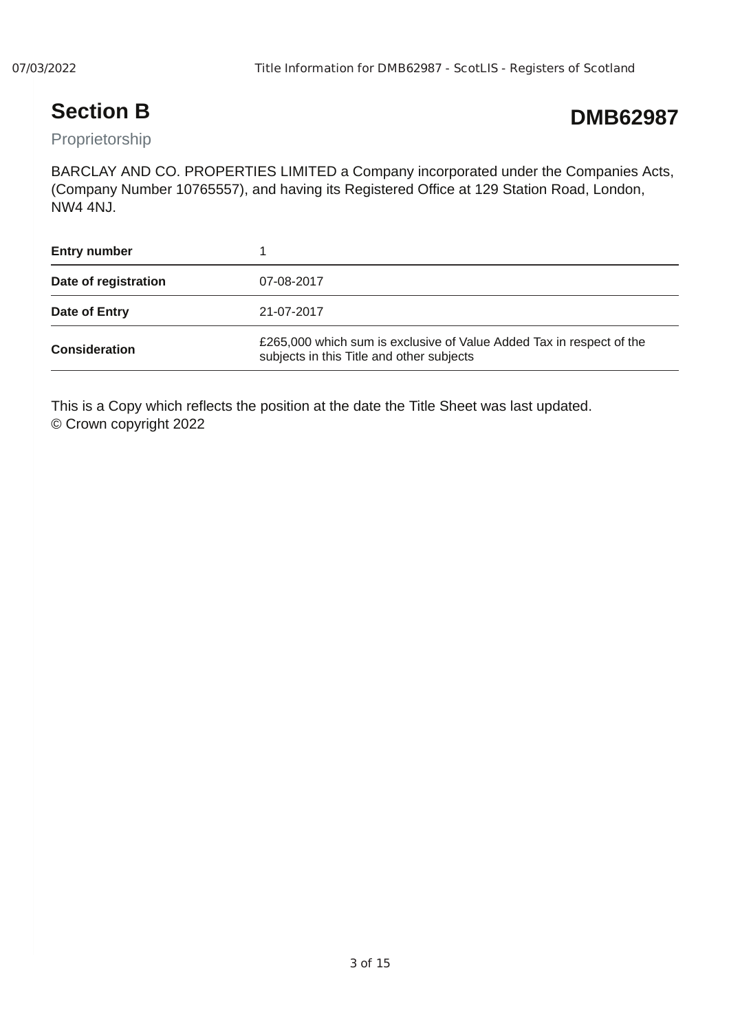## **Section B**

## **DMB62987**

Proprietorship

BARCLAY AND CO. PROPERTIES LIMITED a Company incorporated under the Companies Acts, (Company Number 10765557), and having its Registered Office at 129 Station Road, London, NW4 4NJ.

| <b>Entry number</b>  |                                                                                                                   |
|----------------------|-------------------------------------------------------------------------------------------------------------------|
| Date of registration | 07-08-2017                                                                                                        |
| Date of Entry        | 21-07-2017                                                                                                        |
| <b>Consideration</b> | £265,000 which sum is exclusive of Value Added Tax in respect of the<br>subjects in this Title and other subjects |

This is a Copy which reflects the position at the date the Title Sheet was last updated. © Crown copyright 2022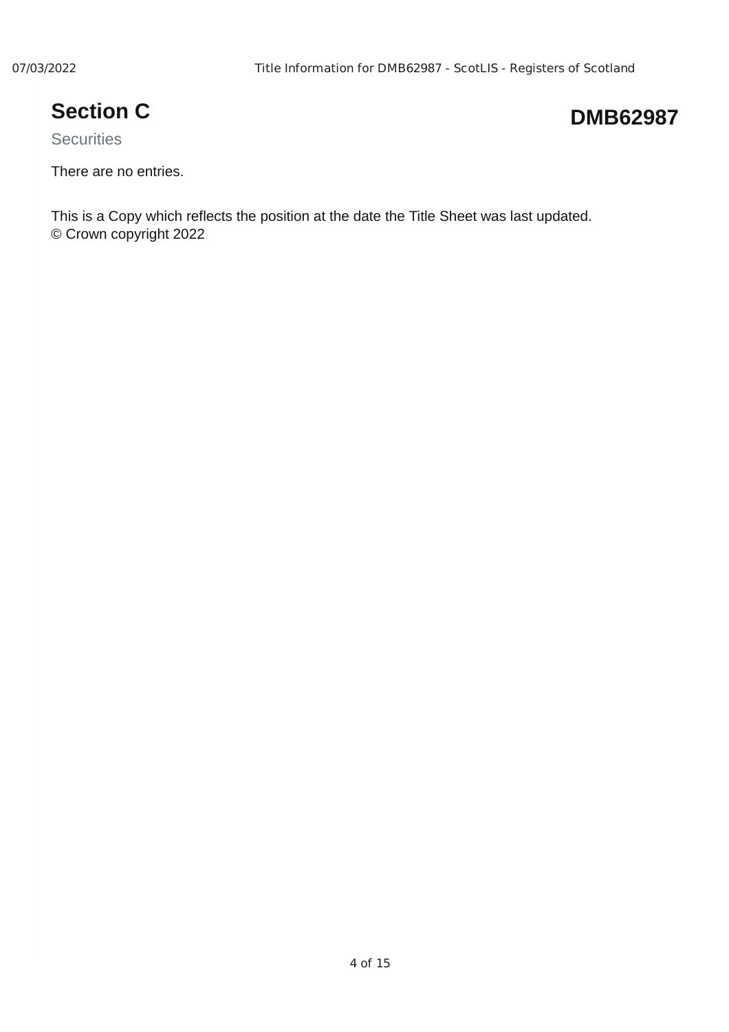## **Section C**

## **DMB62987**

**Securities** 

There are no entries.

This is a Copy which reflects the position at the date the Title Sheet was last updated. © Crown copyright 2022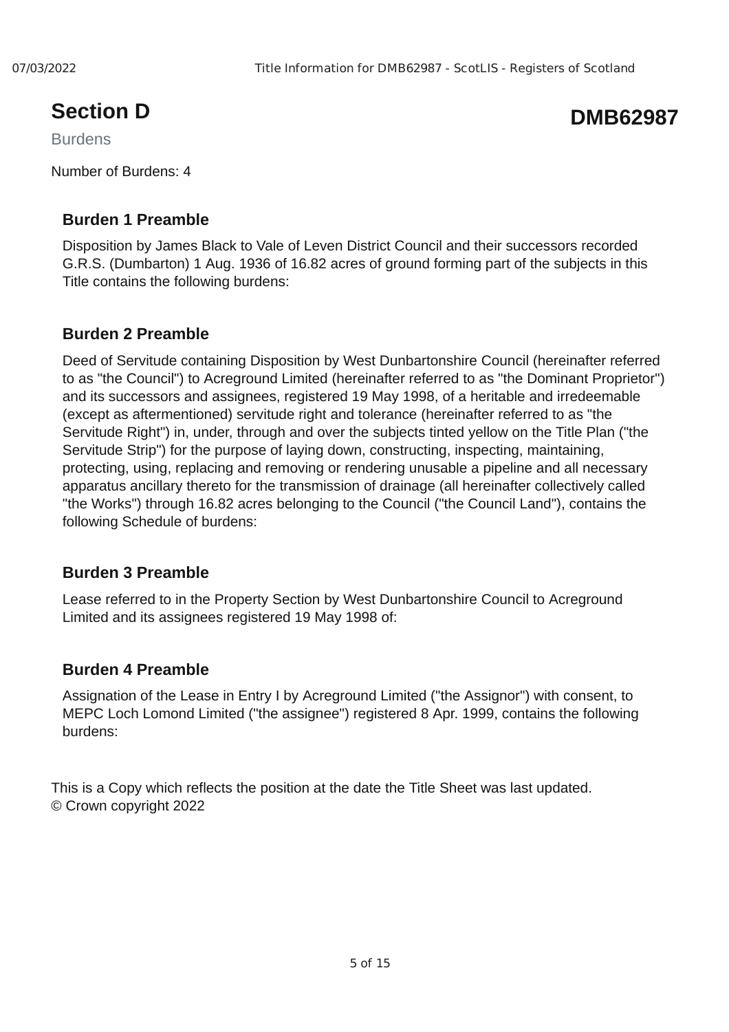## **Section D**

Burdens

Number of Burdens: 4

#### **Burden 1 Preamble**

Disposition by James Black to Vale of Leven District Council and their successors recorded G.R.S. (Dumbarton) 1 Aug. 1936 of 16.82 acres of ground forming part of the subjects in this Title contains the following burdens:

#### **Burden 2 Preamble**

Deed of Servitude containing Disposition by West Dunbartonshire Council (hereinafter referred to as "the Council") to Acreground Limited (hereinafter referred to as "the Dominant Proprietor") and its successors and assignees, registered 19 May 1998, of a heritable and irredeemable (except as aftermentioned) servitude right and tolerance (hereinafter referred to as "the Servitude Right") in, under, through and over the subjects tinted yellow on the Title Plan ("the Servitude Strip") for the purpose of laying down, constructing, inspecting, maintaining, protecting, using, replacing and removing or rendering unusable a pipeline and all necessary apparatus ancillary thereto for the transmission of drainage (all hereinafter collectively called "the Works") through 16.82 acres belonging to the Council ("the Council Land"), contains the following Schedule of burdens:

#### **Burden 3 Preamble**

Lease referred to in the Property Section by West Dunbartonshire Council to Acreground Limited and its assignees registered 19 May 1998 of:

#### **Burden 4 Preamble**

Assignation of the Lease in Entry I by Acreground Limited ("the Assignor") with consent, to MEPC Loch Lomond Limited ("the assignee") registered 8 Apr. 1999, contains the following burdens:

This is a Copy which reflects the position at the date the Title Sheet was last updated. © Crown copyright 2022

## **DMB62987**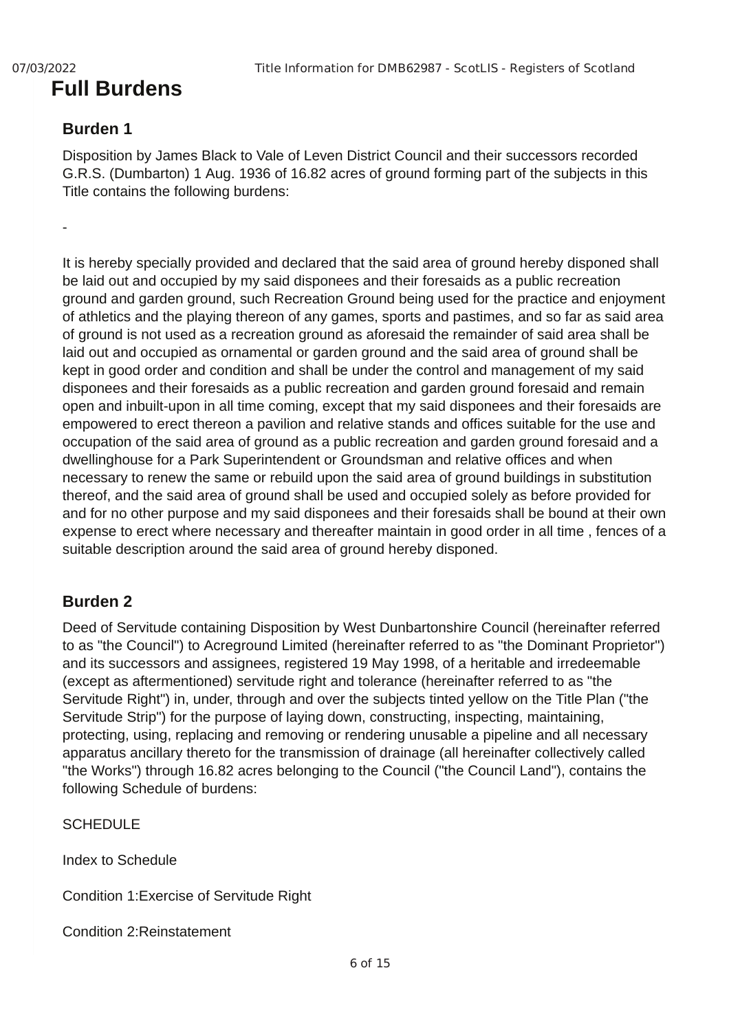## **Full Burdens**

#### **Burden 1**

Disposition by James Black to Vale of Leven District Council and their successors recorded G.R.S. (Dumbarton) 1 Aug. 1936 of 16.82 acres of ground forming part of the subjects in this Title contains the following burdens:

-

It is hereby specially provided and declared that the said area of ground hereby disponed shall be laid out and occupied by my said disponees and their foresaids as a public recreation ground and garden ground, such Recreation Ground being used for the practice and enjoyment of athletics and the playing thereon of any games, sports and pastimes, and so far as said area of ground is not used as a recreation ground as aforesaid the remainder of said area shall be laid out and occupied as ornamental or garden ground and the said area of ground shall be kept in good order and condition and shall be under the control and management of my said disponees and their foresaids as a public recreation and garden ground foresaid and remain open and inbuilt-upon in all time coming, except that my said disponees and their foresaids are empowered to erect thereon a pavilion and relative stands and offices suitable for the use and occupation of the said area of ground as a public recreation and garden ground foresaid and a dwellinghouse for a Park Superintendent or Groundsman and relative offices and when necessary to renew the same or rebuild upon the said area of ground buildings in substitution thereof, and the said area of ground shall be used and occupied solely as before provided for and for no other purpose and my said disponees and their foresaids shall be bound at their own expense to erect where necessary and thereafter maintain in good order in all time , fences of a suitable description around the said area of ground hereby disponed.

#### **Burden 2**

Deed of Servitude containing Disposition by West Dunbartonshire Council (hereinafter referred to as "the Council") to Acreground Limited (hereinafter referred to as "the Dominant Proprietor") and its successors and assignees, registered 19 May 1998, of a heritable and irredeemable (except as aftermentioned) servitude right and tolerance (hereinafter referred to as "the Servitude Right") in, under, through and over the subjects tinted yellow on the Title Plan ("the Servitude Strip") for the purpose of laying down, constructing, inspecting, maintaining, protecting, using, replacing and removing or rendering unusable a pipeline and all necessary apparatus ancillary thereto for the transmission of drainage (all hereinafter collectively called "the Works") through 16.82 acres belonging to the Council ("the Council Land"), contains the following Schedule of burdens:

**SCHEDULE** 

Index to Schedule

Condition 1:Exercise of Servitude Right

Condition 2:Reinstatement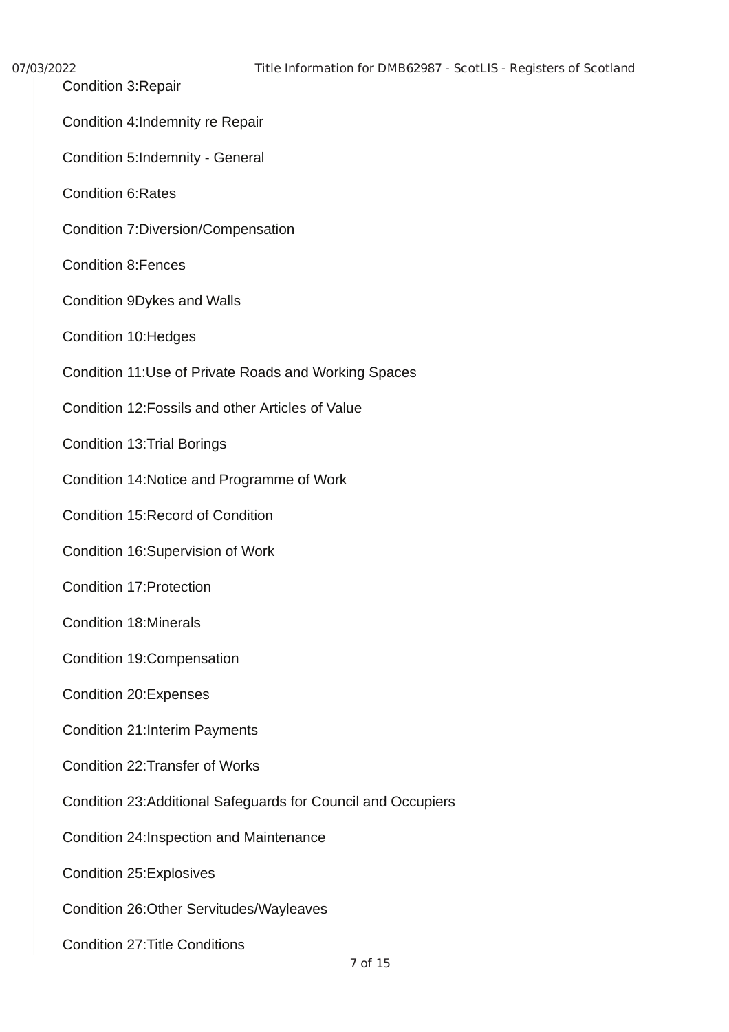| 07/03/2022 |
|------------|
|------------|

- Condition 3:Repair
- Condition 4:Indemnity re Repair
- Condition 5:Indemnity General
- Condition 6:Rates
- Condition 7:Diversion/Compensation
- Condition 8:Fences
- Condition 9Dykes and Walls
- Condition 10:Hedges
- Condition 11:Use of Private Roads and Working Spaces
- Condition 12:Fossils and other Articles of Value
- Condition 13:Trial Borings
- Condition 14:Notice and Programme of Work
- Condition 15:Record of Condition
- Condition 16:Supervision of Work
- Condition 17:Protection
- Condition 18:Minerals
- Condition 19:Compensation
- Condition 20:Expenses
- Condition 21:Interim Payments
- Condition 22:Transfer of Works
- Condition 23:Additional Safeguards for Council and Occupiers
- Condition 24:Inspection and Maintenance
- Condition 25:Explosives
- Condition 26:Other Servitudes/Wayleaves
- Condition 27:Title Conditions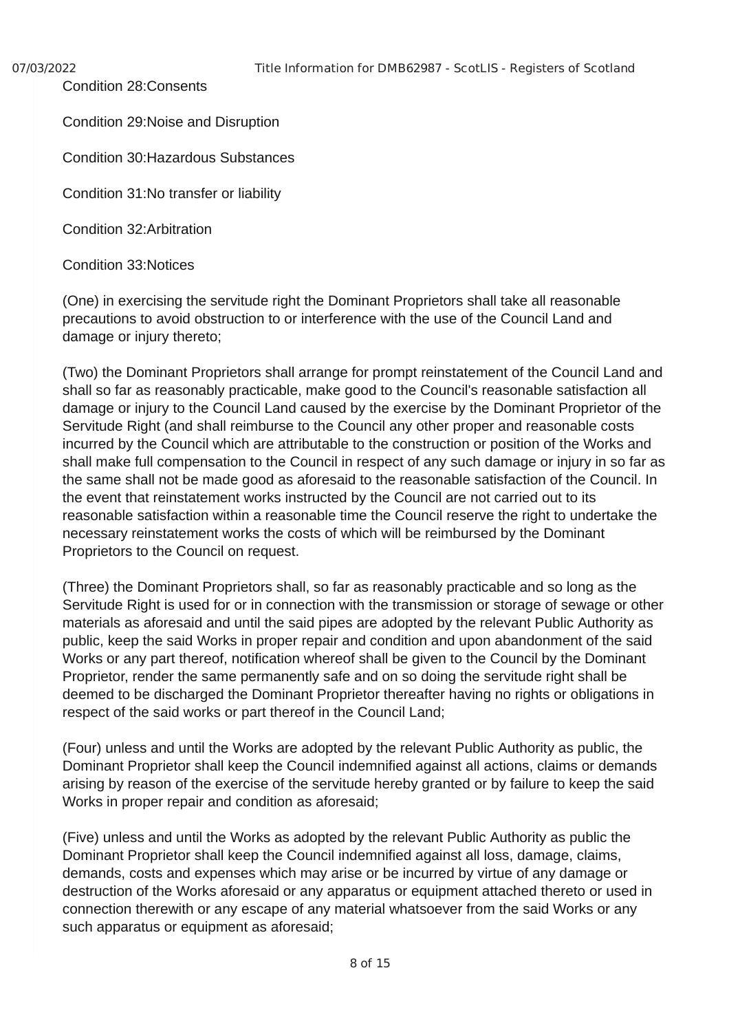Condition 28:Consents

Condition 29:Noise and Disruption

Condition 30:Hazardous Substances

Condition 31:No transfer or liability

Condition 32:Arbitration

Condition 33:Notices

(One) in exercising the servitude right the Dominant Proprietors shall take all reasonable precautions to avoid obstruction to or interference with the use of the Council Land and damage or injury thereto;

(Two) the Dominant Proprietors shall arrange for prompt reinstatement of the Council Land and shall so far as reasonably practicable, make good to the Council's reasonable satisfaction all damage or injury to the Council Land caused by the exercise by the Dominant Proprietor of the Servitude Right (and shall reimburse to the Council any other proper and reasonable costs incurred by the Council which are attributable to the construction or position of the Works and shall make full compensation to the Council in respect of any such damage or injury in so far as the same shall not be made good as aforesaid to the reasonable satisfaction of the Council. In the event that reinstatement works instructed by the Council are not carried out to its reasonable satisfaction within a reasonable time the Council reserve the right to undertake the necessary reinstatement works the costs of which will be reimbursed by the Dominant Proprietors to the Council on request.

(Three) the Dominant Proprietors shall, so far as reasonably practicable and so long as the Servitude Right is used for or in connection with the transmission or storage of sewage or other materials as aforesaid and until the said pipes are adopted by the relevant Public Authority as public, keep the said Works in proper repair and condition and upon abandonment of the said Works or any part thereof, notification whereof shall be given to the Council by the Dominant Proprietor, render the same permanently safe and on so doing the servitude right shall be deemed to be discharged the Dominant Proprietor thereafter having no rights or obligations in respect of the said works or part thereof in the Council Land;

(Four) unless and until the Works are adopted by the relevant Public Authority as public, the Dominant Proprietor shall keep the Council indemnified against all actions, claims or demands arising by reason of the exercise of the servitude hereby granted or by failure to keep the said Works in proper repair and condition as aforesaid;

(Five) unless and until the Works as adopted by the relevant Public Authority as public the Dominant Proprietor shall keep the Council indemnified against all loss, damage, claims, demands, costs and expenses which may arise or be incurred by virtue of any damage or destruction of the Works aforesaid or any apparatus or equipment attached thereto or used in connection therewith or any escape of any material whatsoever from the said Works or any such apparatus or equipment as aforesaid;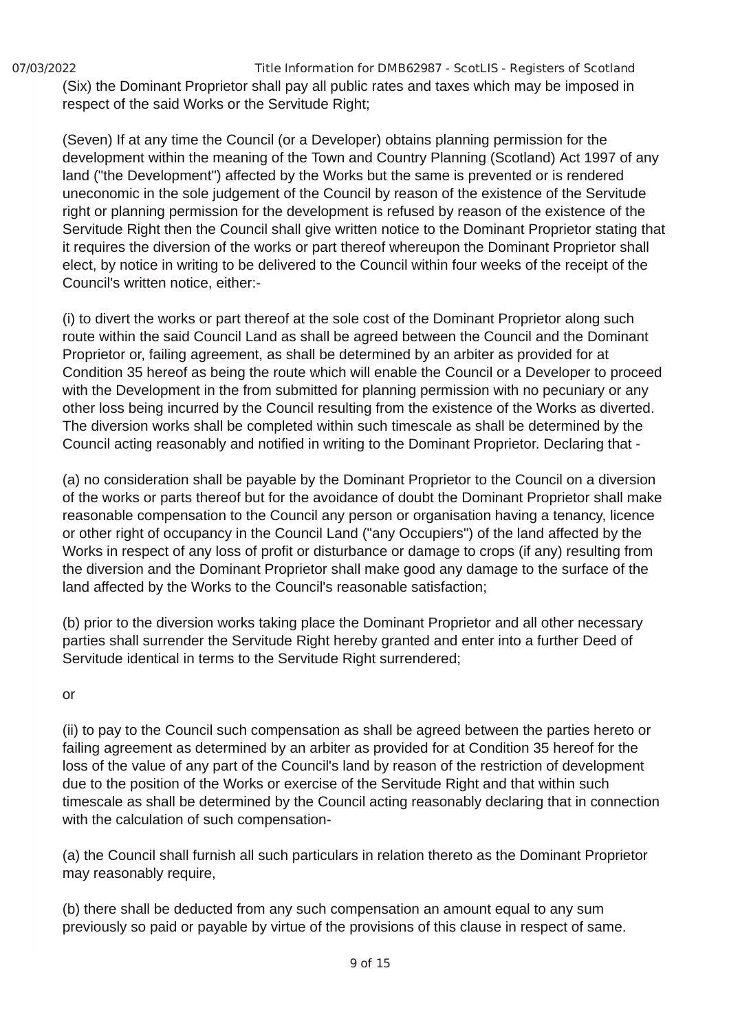07/03/2022 Title Information for DMB62987 - ScotLIS - Registers of Scotland (Six) the Dominant Proprietor shall pay all public rates and taxes which may be imposed in respect of the said Works or the Servitude Right;

(Seven) If at any time the Council (or a Developer) obtains planning permission for the development within the meaning of the Town and Country Planning (Scotland) Act 1997 of any land ("the Development") affected by the Works but the same is prevented or is rendered uneconomic in the sole judgement of the Council by reason of the existence of the Servitude right or planning permission for the development is refused by reason of the existence of the Servitude Right then the Council shall give written notice to the Dominant Proprietor stating that it requires the diversion of the works or part thereof whereupon the Dominant Proprietor shall elect, by notice in writing to be delivered to the Council within four weeks of the receipt of the Council's written notice, either:-

(i) to divert the works or part thereof at the sole cost of the Dominant Proprietor along such route within the said Council Land as shall be agreed between the Council and the Dominant Proprietor or, failing agreement, as shall be determined by an arbiter as provided for at Condition 35 hereof as being the route which will enable the Council or a Developer to proceed with the Development in the from submitted for planning permission with no pecuniary or any other loss being incurred by the Council resulting from the existence of the Works as diverted. The diversion works shall be completed within such timescale as shall be determined by the Council acting reasonably and notified in writing to the Dominant Proprietor. Declaring that -

(a) no consideration shall be payable by the Dominant Proprietor to the Council on a diversion of the works or parts thereof but for the avoidance of doubt the Dominant Proprietor shall make reasonable compensation to the Council any person or organisation having a tenancy, licence or other right of occupancy in the Council Land ("any Occupiers") of the land affected by the Works in respect of any loss of profit or disturbance or damage to crops (if any) resulting from the diversion and the Dominant Proprietor shall make good any damage to the surface of the land affected by the Works to the Council's reasonable satisfaction;

(b) prior to the diversion works taking place the Dominant Proprietor and all other necessary parties shall surrender the Servitude Right hereby granted and enter into a further Deed of Servitude identical in terms to the Servitude Right surrendered;

or

(ii) to pay to the Council such compensation as shall be agreed between the parties hereto or failing agreement as determined by an arbiter as provided for at Condition 35 hereof for the loss of the value of any part of the Council's land by reason of the restriction of development due to the position of the Works or exercise of the Servitude Right and that within such timescale as shall be determined by the Council acting reasonably declaring that in connection with the calculation of such compensation-

(a) the Council shall furnish all such particulars in relation thereto as the Dominant Proprietor may reasonably require,

(b) there shall be deducted from any such compensation an amount equal to any sum previously so paid or payable by virtue of the provisions of this clause in respect of same.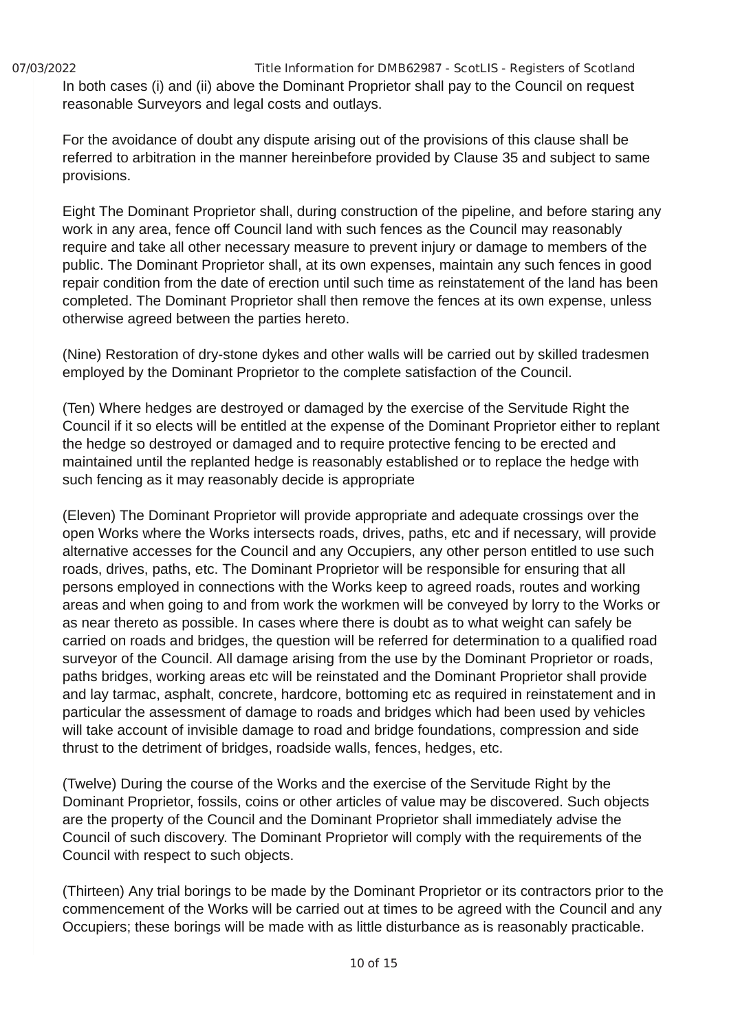07/03/2022 Title Information for DMB62987 - ScotLIS - Registers of Scotland In both cases (i) and (ii) above the Dominant Proprietor shall pay to the Council on request reasonable Surveyors and legal costs and outlays.

For the avoidance of doubt any dispute arising out of the provisions of this clause shall be referred to arbitration in the manner hereinbefore provided by Clause 35 and subject to same provisions.

Eight The Dominant Proprietor shall, during construction of the pipeline, and before staring any work in any area, fence off Council land with such fences as the Council may reasonably require and take all other necessary measure to prevent injury or damage to members of the public. The Dominant Proprietor shall, at its own expenses, maintain any such fences in good repair condition from the date of erection until such time as reinstatement of the land has been completed. The Dominant Proprietor shall then remove the fences at its own expense, unless otherwise agreed between the parties hereto.

(Nine) Restoration of dry-stone dykes and other walls will be carried out by skilled tradesmen employed by the Dominant Proprietor to the complete satisfaction of the Council.

(Ten) Where hedges are destroyed or damaged by the exercise of the Servitude Right the Council if it so elects will be entitled at the expense of the Dominant Proprietor either to replant the hedge so destroyed or damaged and to require protective fencing to be erected and maintained until the replanted hedge is reasonably established or to replace the hedge with such fencing as it may reasonably decide is appropriate

(Eleven) The Dominant Proprietor will provide appropriate and adequate crossings over the open Works where the Works intersects roads, drives, paths, etc and if necessary, will provide alternative accesses for the Council and any Occupiers, any other person entitled to use such roads, drives, paths, etc. The Dominant Proprietor will be responsible for ensuring that all persons employed in connections with the Works keep to agreed roads, routes and working areas and when going to and from work the workmen will be conveyed by lorry to the Works or as near thereto as possible. In cases where there is doubt as to what weight can safely be carried on roads and bridges, the question will be referred for determination to a qualified road surveyor of the Council. All damage arising from the use by the Dominant Proprietor or roads, paths bridges, working areas etc will be reinstated and the Dominant Proprietor shall provide and lay tarmac, asphalt, concrete, hardcore, bottoming etc as required in reinstatement and in particular the assessment of damage to roads and bridges which had been used by vehicles will take account of invisible damage to road and bridge foundations, compression and side thrust to the detriment of bridges, roadside walls, fences, hedges, etc.

(Twelve) During the course of the Works and the exercise of the Servitude Right by the Dominant Proprietor, fossils, coins or other articles of value may be discovered. Such objects are the property of the Council and the Dominant Proprietor shall immediately advise the Council of such discovery. The Dominant Proprietor will comply with the requirements of the Council with respect to such objects.

(Thirteen) Any trial borings to be made by the Dominant Proprietor or its contractors prior to the commencement of the Works will be carried out at times to be agreed with the Council and any Occupiers; these borings will be made with as little disturbance as is reasonably practicable.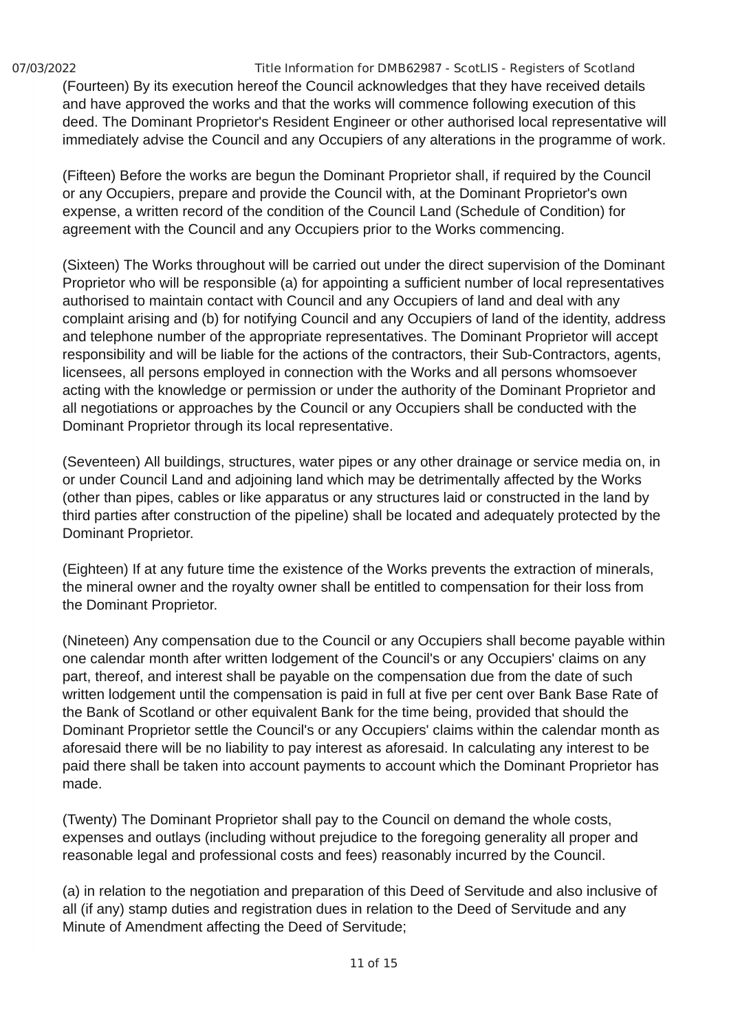07/03/2022 Title Information for DMB62987 - ScotLIS - Registers of Scotland (Fourteen) By its execution hereof the Council acknowledges that they have received details and have approved the works and that the works will commence following execution of this deed. The Dominant Proprietor's Resident Engineer or other authorised local representative will immediately advise the Council and any Occupiers of any alterations in the programme of work.

(Fifteen) Before the works are begun the Dominant Proprietor shall, if required by the Council or any Occupiers, prepare and provide the Council with, at the Dominant Proprietor's own expense, a written record of the condition of the Council Land (Schedule of Condition) for agreement with the Council and any Occupiers prior to the Works commencing.

(Sixteen) The Works throughout will be carried out under the direct supervision of the Dominant Proprietor who will be responsible (a) for appointing a sufficient number of local representatives authorised to maintain contact with Council and any Occupiers of land and deal with any complaint arising and (b) for notifying Council and any Occupiers of land of the identity, address and telephone number of the appropriate representatives. The Dominant Proprietor will accept responsibility and will be liable for the actions of the contractors, their Sub-Contractors, agents, licensees, all persons employed in connection with the Works and all persons whomsoever acting with the knowledge or permission or under the authority of the Dominant Proprietor and all negotiations or approaches by the Council or any Occupiers shall be conducted with the Dominant Proprietor through its local representative.

(Seventeen) All buildings, structures, water pipes or any other drainage or service media on, in or under Council Land and adjoining land which may be detrimentally affected by the Works (other than pipes, cables or like apparatus or any structures laid or constructed in the land by third parties after construction of the pipeline) shall be located and adequately protected by the Dominant Proprietor.

(Eighteen) If at any future time the existence of the Works prevents the extraction of minerals, the mineral owner and the royalty owner shall be entitled to compensation for their loss from the Dominant Proprietor.

(Nineteen) Any compensation due to the Council or any Occupiers shall become payable within one calendar month after written lodgement of the Council's or any Occupiers' claims on any part, thereof, and interest shall be payable on the compensation due from the date of such written lodgement until the compensation is paid in full at five per cent over Bank Base Rate of the Bank of Scotland or other equivalent Bank for the time being, provided that should the Dominant Proprietor settle the Council's or any Occupiers' claims within the calendar month as aforesaid there will be no liability to pay interest as aforesaid. In calculating any interest to be paid there shall be taken into account payments to account which the Dominant Proprietor has made.

(Twenty) The Dominant Proprietor shall pay to the Council on demand the whole costs, expenses and outlays (including without prejudice to the foregoing generality all proper and reasonable legal and professional costs and fees) reasonably incurred by the Council.

(a) in relation to the negotiation and preparation of this Deed of Servitude and also inclusive of all (if any) stamp duties and registration dues in relation to the Deed of Servitude and any Minute of Amendment affecting the Deed of Servitude;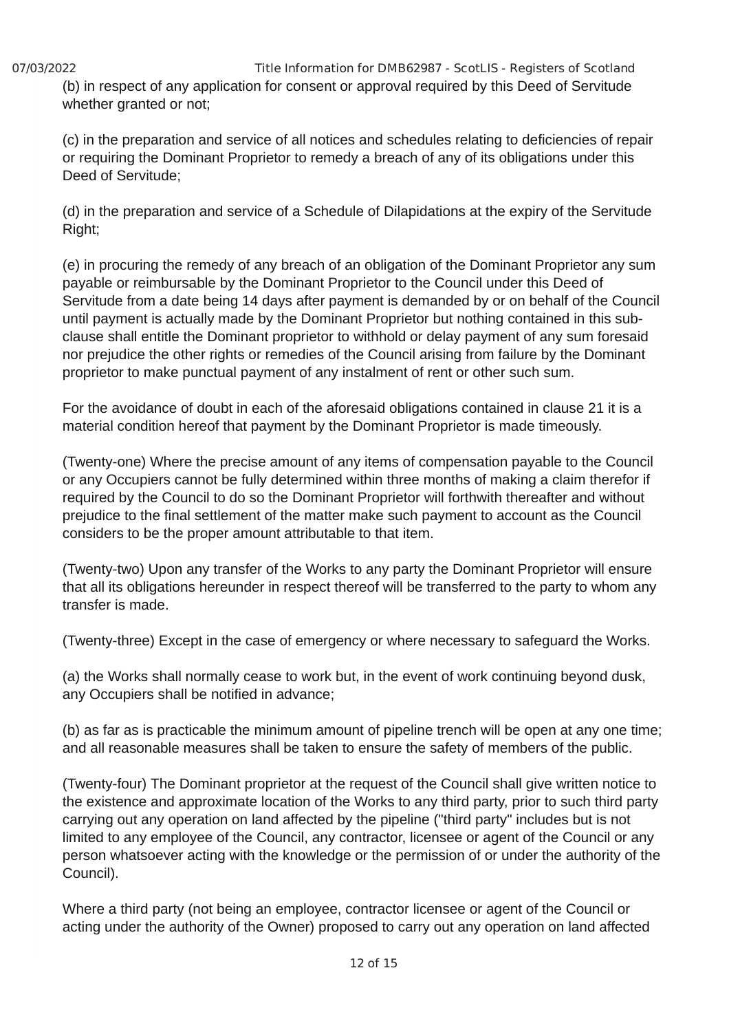07/03/2022 Title Information for DMB62987 - ScotLIS - Registers of Scotland (b) in respect of any application for consent or approval required by this Deed of Servitude whether granted or not:

(c) in the preparation and service of all notices and schedules relating to deficiencies of repair or requiring the Dominant Proprietor to remedy a breach of any of its obligations under this Deed of Servitude;

(d) in the preparation and service of a Schedule of Dilapidations at the expiry of the Servitude Right;

(e) in procuring the remedy of any breach of an obligation of the Dominant Proprietor any sum payable or reimbursable by the Dominant Proprietor to the Council under this Deed of Servitude from a date being 14 days after payment is demanded by or on behalf of the Council until payment is actually made by the Dominant Proprietor but nothing contained in this subclause shall entitle the Dominant proprietor to withhold or delay payment of any sum foresaid nor prejudice the other rights or remedies of the Council arising from failure by the Dominant proprietor to make punctual payment of any instalment of rent or other such sum.

For the avoidance of doubt in each of the aforesaid obligations contained in clause 21 it is a material condition hereof that payment by the Dominant Proprietor is made timeously.

(Twenty-one) Where the precise amount of any items of compensation payable to the Council or any Occupiers cannot be fully determined within three months of making a claim therefor if required by the Council to do so the Dominant Proprietor will forthwith thereafter and without prejudice to the final settlement of the matter make such payment to account as the Council considers to be the proper amount attributable to that item.

(Twenty-two) Upon any transfer of the Works to any party the Dominant Proprietor will ensure that all its obligations hereunder in respect thereof will be transferred to the party to whom any transfer is made.

(Twenty-three) Except in the case of emergency or where necessary to safeguard the Works.

(a) the Works shall normally cease to work but, in the event of work continuing beyond dusk, any Occupiers shall be notified in advance;

(b) as far as is practicable the minimum amount of pipeline trench will be open at any one time; and all reasonable measures shall be taken to ensure the safety of members of the public.

(Twenty-four) The Dominant proprietor at the request of the Council shall give written notice to the existence and approximate location of the Works to any third party, prior to such third party carrying out any operation on land affected by the pipeline ("third party" includes but is not limited to any employee of the Council, any contractor, licensee or agent of the Council or any person whatsoever acting with the knowledge or the permission of or under the authority of the Council).

Where a third party (not being an employee, contractor licensee or agent of the Council or acting under the authority of the Owner) proposed to carry out any operation on land affected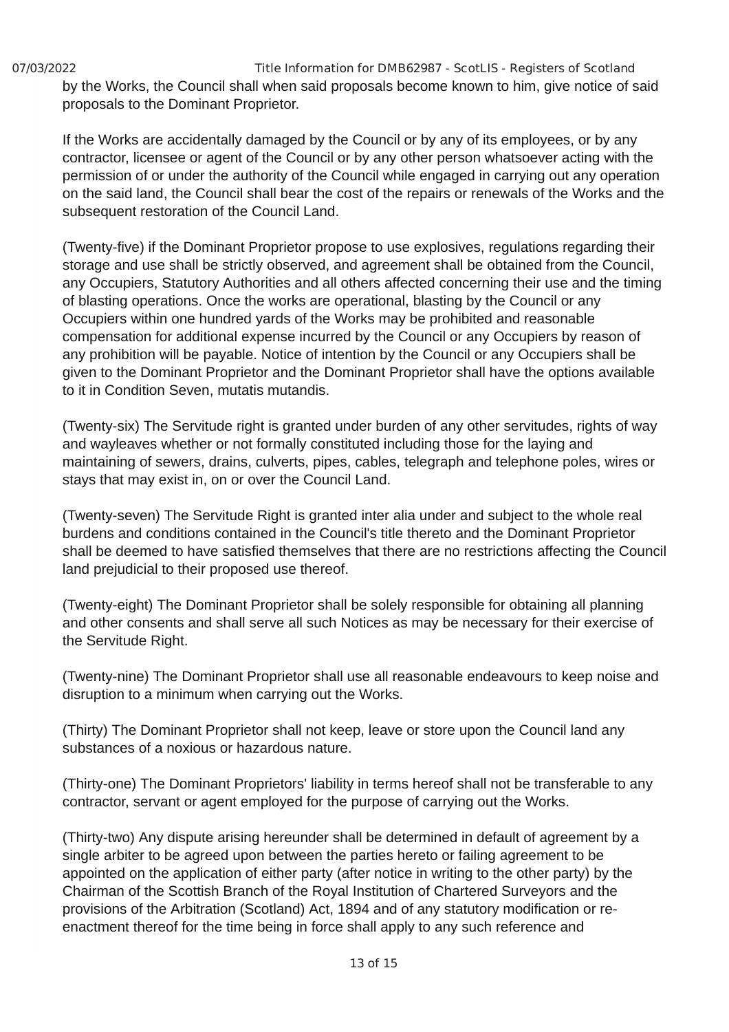07/03/2022 Title Information for DMB62987 - ScotLIS - Registers of Scotland by the Works, the Council shall when said proposals become known to him, give notice of said proposals to the Dominant Proprietor.

If the Works are accidentally damaged by the Council or by any of its employees, or by any contractor, licensee or agent of the Council or by any other person whatsoever acting with the permission of or under the authority of the Council while engaged in carrying out any operation on the said land, the Council shall bear the cost of the repairs or renewals of the Works and the subsequent restoration of the Council Land.

(Twenty-five) if the Dominant Proprietor propose to use explosives, regulations regarding their storage and use shall be strictly observed, and agreement shall be obtained from the Council, any Occupiers, Statutory Authorities and all others affected concerning their use and the timing of blasting operations. Once the works are operational, blasting by the Council or any Occupiers within one hundred yards of the Works may be prohibited and reasonable compensation for additional expense incurred by the Council or any Occupiers by reason of any prohibition will be payable. Notice of intention by the Council or any Occupiers shall be given to the Dominant Proprietor and the Dominant Proprietor shall have the options available to it in Condition Seven, mutatis mutandis.

(Twenty-six) The Servitude right is granted under burden of any other servitudes, rights of way and wayleaves whether or not formally constituted including those for the laying and maintaining of sewers, drains, culverts, pipes, cables, telegraph and telephone poles, wires or stays that may exist in, on or over the Council Land.

(Twenty-seven) The Servitude Right is granted inter alia under and subject to the whole real burdens and conditions contained in the Council's title thereto and the Dominant Proprietor shall be deemed to have satisfied themselves that there are no restrictions affecting the Council land prejudicial to their proposed use thereof.

(Twenty-eight) The Dominant Proprietor shall be solely responsible for obtaining all planning and other consents and shall serve all such Notices as may be necessary for their exercise of the Servitude Right.

(Twenty-nine) The Dominant Proprietor shall use all reasonable endeavours to keep noise and disruption to a minimum when carrying out the Works.

(Thirty) The Dominant Proprietor shall not keep, leave or store upon the Council land any substances of a noxious or hazardous nature.

(Thirty-one) The Dominant Proprietors' liability in terms hereof shall not be transferable to any contractor, servant or agent employed for the purpose of carrying out the Works.

(Thirty-two) Any dispute arising hereunder shall be determined in default of agreement by a single arbiter to be agreed upon between the parties hereto or failing agreement to be appointed on the application of either party (after notice in writing to the other party) by the Chairman of the Scottish Branch of the Royal Institution of Chartered Surveyors and the provisions of the Arbitration (Scotland) Act, 1894 and of any statutory modification or reenactment thereof for the time being in force shall apply to any such reference and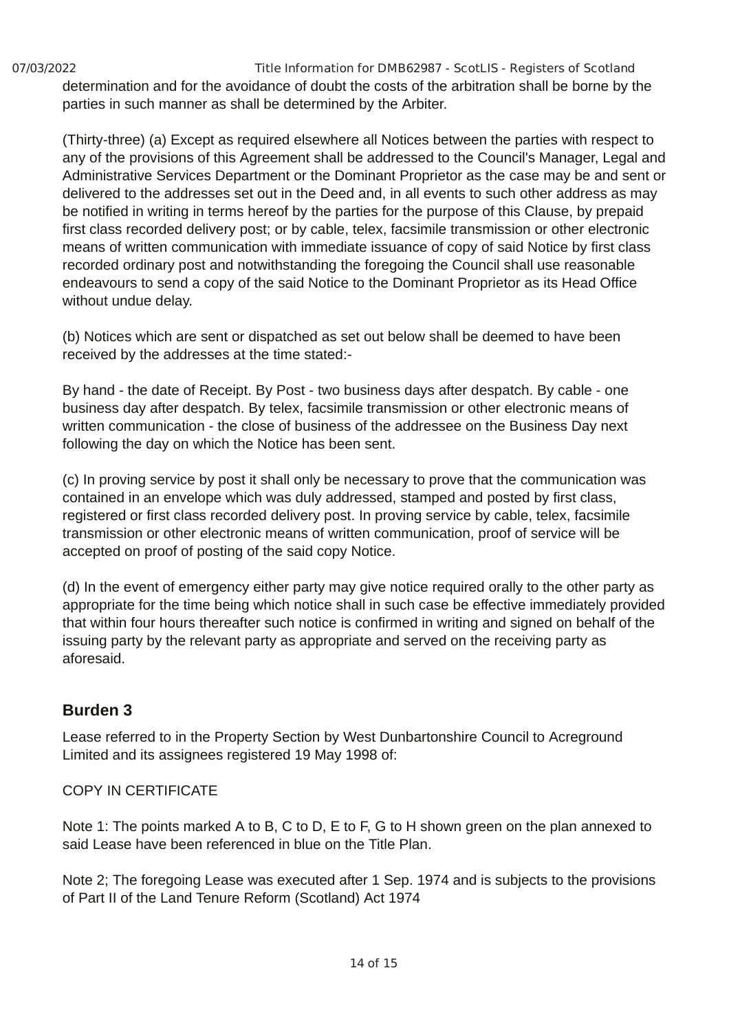07/03/2022 Title Information for DMB62987 - ScotLIS - Registers of Scotland determination and for the avoidance of doubt the costs of the arbitration shall be borne by the parties in such manner as shall be determined by the Arbiter.

(Thirty-three) (a) Except as required elsewhere all Notices between the parties with respect to any of the provisions of this Agreement shall be addressed to the Council's Manager, Legal and Administrative Services Department or the Dominant Proprietor as the case may be and sent or delivered to the addresses set out in the Deed and, in all events to such other address as may be notified in writing in terms hereof by the parties for the purpose of this Clause, by prepaid first class recorded delivery post; or by cable, telex, facsimile transmission or other electronic means of written communication with immediate issuance of copy of said Notice by first class recorded ordinary post and notwithstanding the foregoing the Council shall use reasonable endeavours to send a copy of the said Notice to the Dominant Proprietor as its Head Office without undue delay.

(b) Notices which are sent or dispatched as set out below shall be deemed to have been received by the addresses at the time stated:-

By hand - the date of Receipt. By Post - two business days after despatch. By cable - one business day after despatch. By telex, facsimile transmission or other electronic means of written communication - the close of business of the addressee on the Business Day next following the day on which the Notice has been sent.

(c) In proving service by post it shall only be necessary to prove that the communication was contained in an envelope which was duly addressed, stamped and posted by first class, registered or first class recorded delivery post. In proving service by cable, telex, facsimile transmission or other electronic means of written communication, proof of service will be accepted on proof of posting of the said copy Notice.

(d) In the event of emergency either party may give notice required orally to the other party as appropriate for the time being which notice shall in such case be effective immediately provided that within four hours thereafter such notice is confirmed in writing and signed on behalf of the issuing party by the relevant party as appropriate and served on the receiving party as aforesaid.

#### **Burden 3**

Lease referred to in the Property Section by West Dunbartonshire Council to Acreground Limited and its assignees registered 19 May 1998 of:

#### COPY IN CERTIFICATE

Note 1: The points marked A to B, C to D, E to F, G to H shown green on the plan annexed to said Lease have been referenced in blue on the Title Plan.

Note 2; The foregoing Lease was executed after 1 Sep. 1974 and is subjects to the provisions of Part II of the Land Tenure Reform (Scotland) Act 1974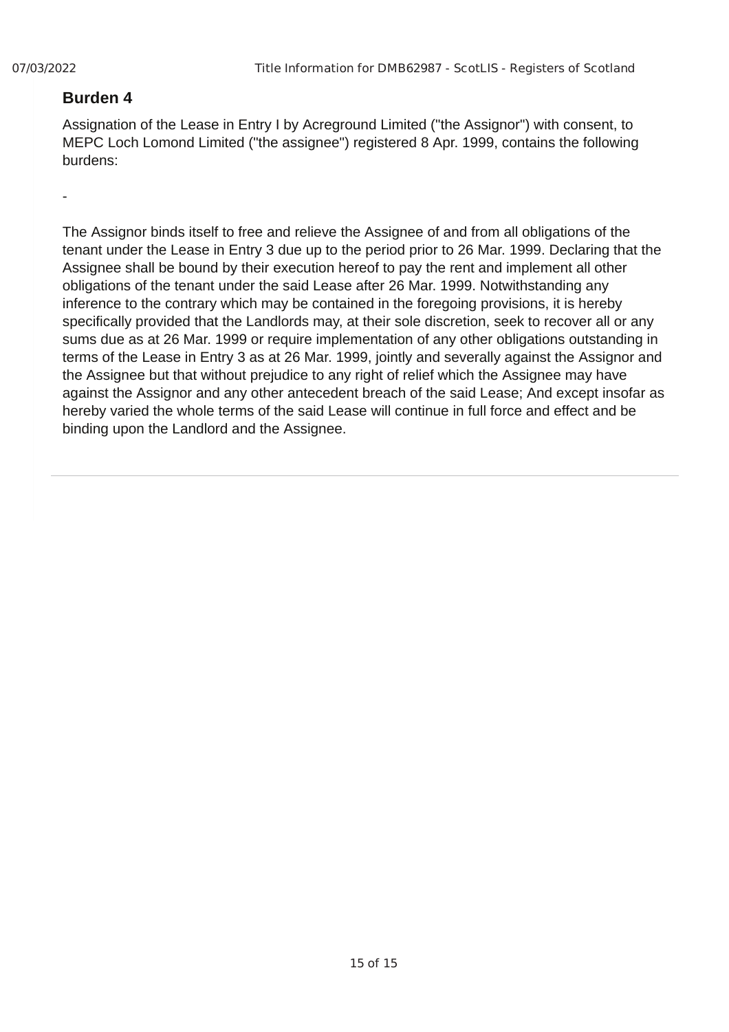#### **Burden 4**

Assignation of the Lease in Entry I by Acreground Limited ("the Assignor") with consent, to MEPC Loch Lomond Limited ("the assignee") registered 8 Apr. 1999, contains the following burdens:

-

The Assignor binds itself to free and relieve the Assignee of and from all obligations of the tenant under the Lease in Entry 3 due up to the period prior to 26 Mar. 1999. Declaring that the Assignee shall be bound by their execution hereof to pay the rent and implement all other obligations of the tenant under the said Lease after 26 Mar. 1999. Notwithstanding any inference to the contrary which may be contained in the foregoing provisions, it is hereby specifically provided that the Landlords may, at their sole discretion, seek to recover all or any sums due as at 26 Mar. 1999 or require implementation of any other obligations outstanding in terms of the Lease in Entry 3 as at 26 Mar. 1999, jointly and severally against the Assignor and the Assignee but that without prejudice to any right of relief which the Assignee may have against the Assignor and any other antecedent breach of the said Lease; And except insofar as hereby varied the whole terms of the said Lease will continue in full force and effect and be binding upon the Landlord and the Assignee.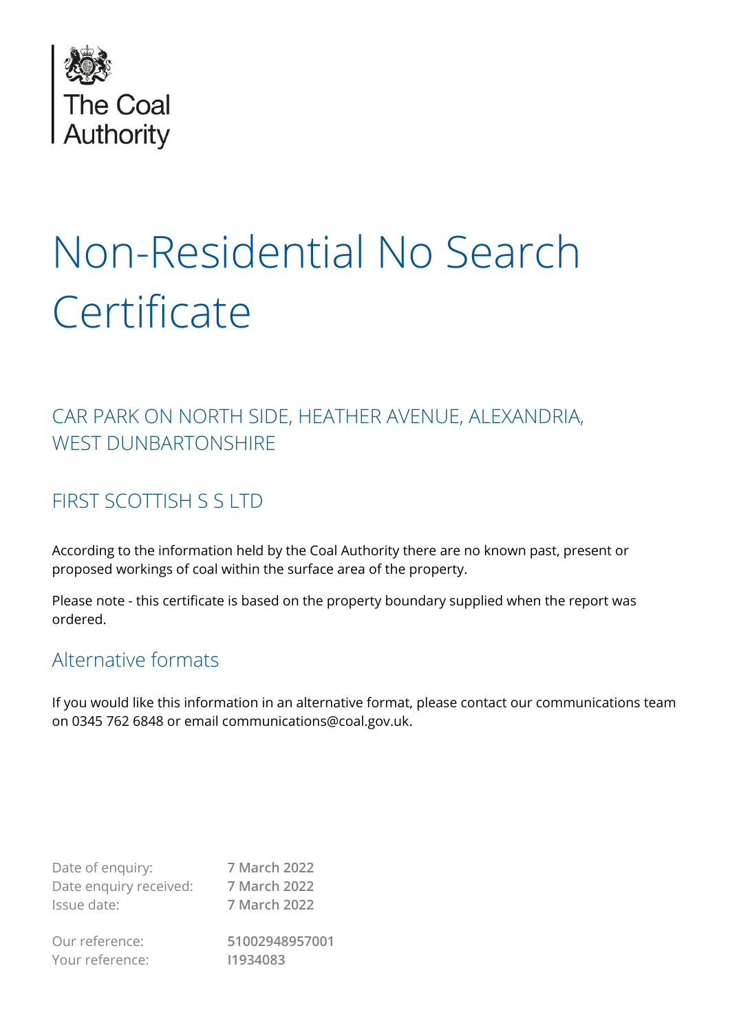

# Non-Residential No Search **Certificate**

## CAR PARK ON NORTH SIDE, HEATHER AVENUE, ALEXANDRIA, WEST DUNBARTONSHIRE

## FIRST SCOTTISH S S LTD

According to the information held by the Coal Authority there are no known past, present or proposed workings of coal within the surface area of the property.

Please note - this certificate is based on the property boundary supplied when the report was ordered.

## Alternative formats

If you would like this information in an alternative format, please contact our communications team on 0345 762 6848 or email communications@coal.gov.uk.

| Date of enquiry:       | 7 March 2022   |
|------------------------|----------------|
| Date enquiry received: | 7 March 2022   |
| Issue date:            | 7 March 2022   |
| Our reference:         | 51002948957001 |
| Your reference:        | 11934083       |